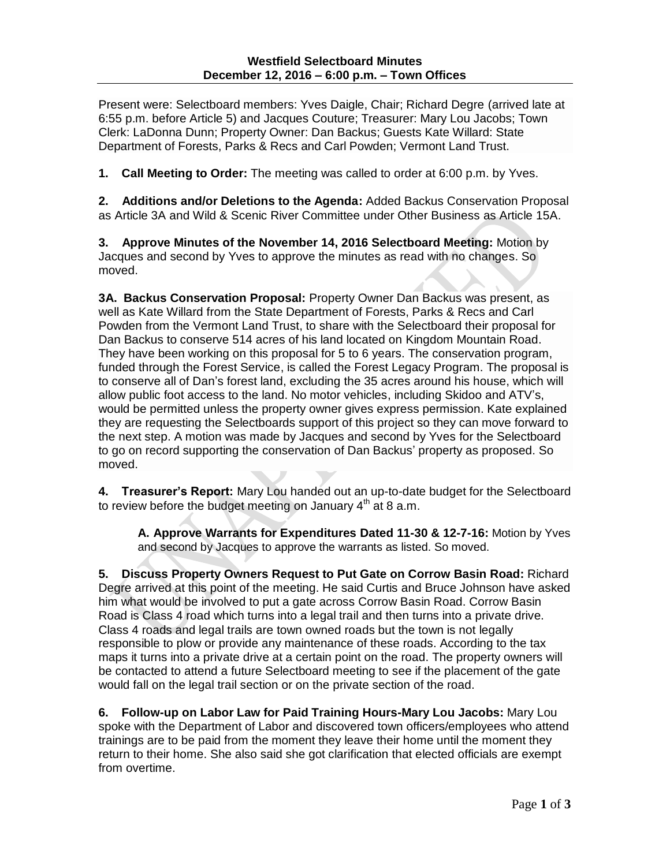Present were: Selectboard members: Yves Daigle, Chair; Richard Degre (arrived late at 6:55 p.m. before Article 5) and Jacques Couture; Treasurer: Mary Lou Jacobs; Town Clerk: LaDonna Dunn; Property Owner: Dan Backus; Guests Kate Willard: State Department of Forests, Parks & Recs and Carl Powden; Vermont Land Trust.

**1. Call Meeting to Order:** The meeting was called to order at 6:00 p.m. by Yves.

**2. Additions and/or Deletions to the Agenda:** Added Backus Conservation Proposal as Article 3A and Wild & Scenic River Committee under Other Business as Article 15A.

**3. Approve Minutes of the November 14, 2016 Selectboard Meeting:** Motion by Jacques and second by Yves to approve the minutes as read with no changes. So moved.

**3A. Backus Conservation Proposal:** Property Owner Dan Backus was present, as well as Kate Willard from the State Department of Forests, Parks & Recs and Carl Powden from the Vermont Land Trust, to share with the Selectboard their proposal for Dan Backus to conserve 514 acres of his land located on Kingdom Mountain Road. They have been working on this proposal for 5 to 6 years. The conservation program, funded through the Forest Service, is called the Forest Legacy Program. The proposal is to conserve all of Dan's forest land, excluding the 35 acres around his house, which will allow public foot access to the land. No motor vehicles, including Skidoo and ATV's, would be permitted unless the property owner gives express permission. Kate explained they are requesting the Selectboards support of this project so they can move forward to the next step. A motion was made by Jacques and second by Yves for the Selectboard to go on record supporting the conservation of Dan Backus' property as proposed. So moved.

**4. Treasurer's Report:** Mary Lou handed out an up-to-date budget for the Selectboard to review before the budget meeting on January  $4<sup>th</sup>$  at 8 a.m.

**A. Approve Warrants for Expenditures Dated 11-30 & 12-7-16:** Motion by Yves and second by Jacques to approve the warrants as listed. So moved.

**5. Discuss Property Owners Request to Put Gate on Corrow Basin Road:** Richard Degre arrived at this point of the meeting. He said Curtis and Bruce Johnson have asked him what would be involved to put a gate across Corrow Basin Road. Corrow Basin Road is Class 4 road which turns into a legal trail and then turns into a private drive. Class 4 roads and legal trails are town owned roads but the town is not legally responsible to plow or provide any maintenance of these roads. According to the tax maps it turns into a private drive at a certain point on the road. The property owners will be contacted to attend a future Selectboard meeting to see if the placement of the gate would fall on the legal trail section or on the private section of the road.

**6. Follow-up on Labor Law for Paid Training Hours-Mary Lou Jacobs:** Mary Lou spoke with the Department of Labor and discovered town officers/employees who attend trainings are to be paid from the moment they leave their home until the moment they return to their home. She also said she got clarification that elected officials are exempt from overtime.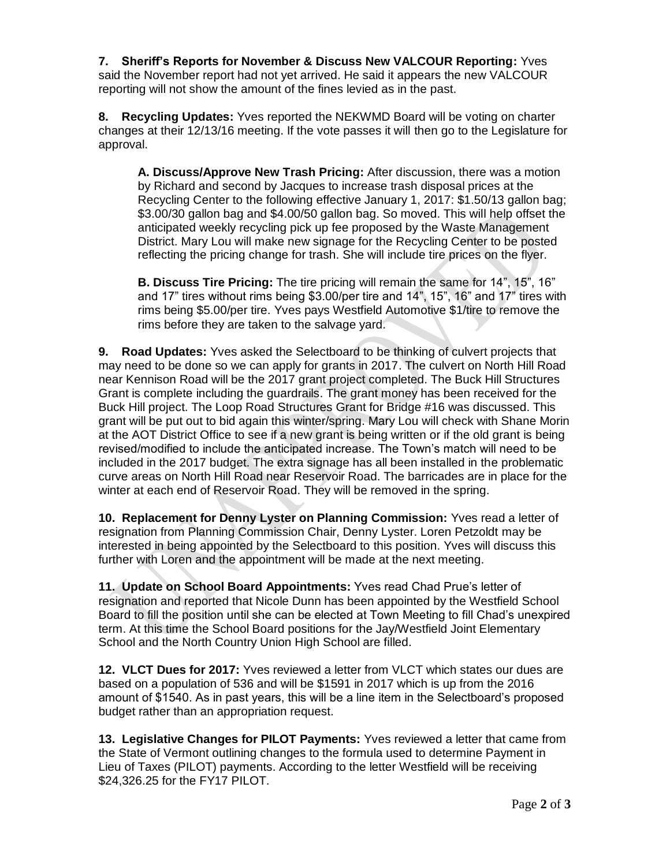**7. Sheriff's Reports for November & Discuss New VALCOUR Reporting:** Yves said the November report had not yet arrived. He said it appears the new VALCOUR reporting will not show the amount of the fines levied as in the past.

**8. Recycling Updates:** Yves reported the NEKWMD Board will be voting on charter changes at their 12/13/16 meeting. If the vote passes it will then go to the Legislature for approval.

**A. Discuss/Approve New Trash Pricing:** After discussion, there was a motion by Richard and second by Jacques to increase trash disposal prices at the Recycling Center to the following effective January 1, 2017: \$1.50/13 gallon bag; \$3.00/30 gallon bag and \$4.00/50 gallon bag. So moved. This will help offset the anticipated weekly recycling pick up fee proposed by the Waste Management District. Mary Lou will make new signage for the Recycling Center to be posted reflecting the pricing change for trash. She will include tire prices on the flyer.

**B. Discuss Tire Pricing:** The tire pricing will remain the same for 14", 15", 16" and 17" tires without rims being \$3.00/per tire and 14", 15", 16" and 17" tires with rims being \$5.00/per tire. Yves pays Westfield Automotive \$1/tire to remove the rims before they are taken to the salvage yard.

**9. Road Updates:** Yves asked the Selectboard to be thinking of culvert projects that may need to be done so we can apply for grants in 2017. The culvert on North Hill Road near Kennison Road will be the 2017 grant project completed. The Buck Hill Structures Grant is complete including the guardrails. The grant money has been received for the Buck Hill project. The Loop Road Structures Grant for Bridge #16 was discussed. This grant will be put out to bid again this winter/spring. Mary Lou will check with Shane Morin at the AOT District Office to see if a new grant is being written or if the old grant is being revised/modified to include the anticipated increase. The Town's match will need to be included in the 2017 budget. The extra signage has all been installed in the problematic curve areas on North Hill Road near Reservoir Road. The barricades are in place for the winter at each end of Reservoir Road. They will be removed in the spring.

**10. Replacement for Denny Lyster on Planning Commission:** Yves read a letter of resignation from Planning Commission Chair, Denny Lyster. Loren Petzoldt may be interested in being appointed by the Selectboard to this position. Yves will discuss this further with Loren and the appointment will be made at the next meeting.

**11. Update on School Board Appointments:** Yves read Chad Prue's letter of resignation and reported that Nicole Dunn has been appointed by the Westfield School Board to fill the position until she can be elected at Town Meeting to fill Chad's unexpired term. At this time the School Board positions for the Jay/Westfield Joint Elementary School and the North Country Union High School are filled.

**12. VLCT Dues for 2017:** Yves reviewed a letter from VLCT which states our dues are based on a population of 536 and will be \$1591 in 2017 which is up from the 2016 amount of \$1540. As in past years, this will be a line item in the Selectboard's proposed budget rather than an appropriation request.

**13. Legislative Changes for PILOT Payments:** Yves reviewed a letter that came from the State of Vermont outlining changes to the formula used to determine Payment in Lieu of Taxes (PILOT) payments. According to the letter Westfield will be receiving \$24,326.25 for the FY17 PILOT.